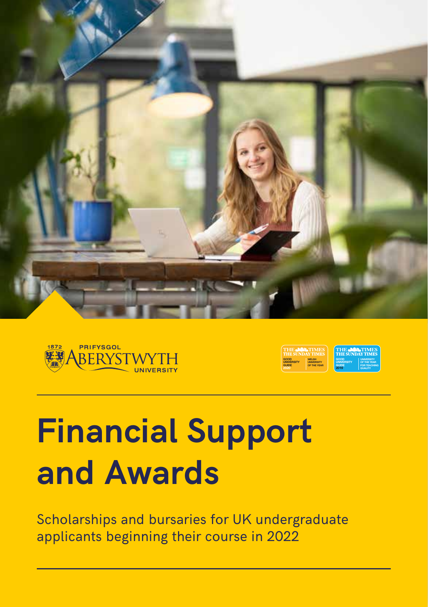





# **Financial Support and Awards**

Scholarships and bursaries for UK undergraduate applicants beginning their course in 2022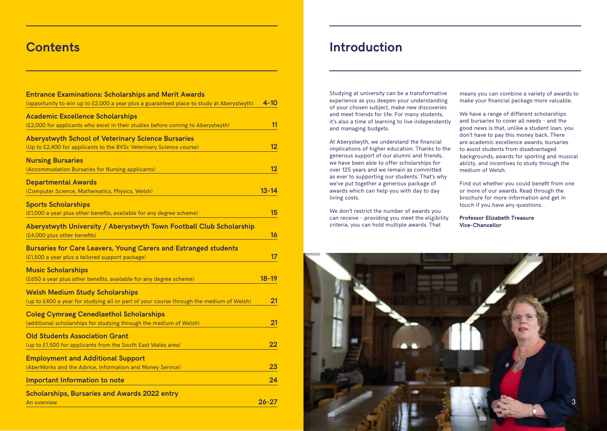### **Contents**

| <b>Entrance Examinations: Scholarships and Merit Awards</b>                                                                       |           |
|-----------------------------------------------------------------------------------------------------------------------------------|-----------|
| (opportunity to win up to £2,000 a year plus a guaranteed place to study at Aberystwyth)                                          | $4 - 10$  |
| <b>Academic Excellence Scholarships</b>                                                                                           |           |
| (£2,000 for applicants who excel in their studies before coming to Aberystwyth)                                                   | 11        |
| <b>Aberystwyth School of Veterinary Science Bursaries</b>                                                                         |           |
| (Up to £2,400 for applicants to the BVSc Veterinary Science course)                                                               | 12        |
| <b>Nursing Bursaries</b>                                                                                                          |           |
| (Accommodation Bursaries for Nursing applicants)                                                                                  | 12        |
| <b>Departmental Awards</b>                                                                                                        |           |
| (Computer Science, Mathematics, Physics, Welsh)                                                                                   | $13 - 14$ |
| <b>Sports Scholarships</b>                                                                                                        |           |
| (£1,000 a year plus other benefits, available for any degree scheme)                                                              | 15        |
| Aberystwyth University / Aberystwyth Town Football Club Scholarship<br>(£4,000 plus other benefits)                               | 16        |
| <b>Bursaries for Care Leavers, Young Carers and Estranged students</b><br>(£1,500 a year plus a tailored support package)         | 17        |
| <b>Music Scholarships</b>                                                                                                         |           |
| (£650 a year plus other benefits, available for any degree scheme)                                                                | $18 - 19$ |
| <b>Welsh Medium Study Scholarships</b><br>(up to £400 a year for studying all or part of your course through the medium of Welsh) | 21        |
| <b>Coleg Cymraeg Cenedlaethol Scholarships</b><br>(additional scholarships for studying through the medium of Welsh)              | 21        |
| <b>Old Students Association Grant</b>                                                                                             |           |
| (up to £1,500 for applicants from the South East Wales area)                                                                      | 22        |
| <b>Employment and Additional Support</b><br>(AberWorks and the Advice, Information and Money Service)                             | 23        |
|                                                                                                                                   |           |
| <b>Important Information to note</b>                                                                                              | 24        |
| <b>Scholarships, Bursaries and Awards 2022 entry</b>                                                                              |           |
| <b>An overview</b>                                                                                                                | $26 - 27$ |

### **Introduction**

Studying at university can be a transformative experience as you deepen your understanding of your chosen subject, make new discoveries and meet friends for life. For many students, it's also a time of learning to live independently and managing budgets.

At Aberystwyth, we understand the financial implications of higher education. Thanks to the generous support of our alumni and friends, we have been able to offer scholarships for over 125 years and we remain as committed as ever to supporting our students. That's why we've put together a generous package of awards which can help you with day to day living costs.

We don't restrict the number of awards you can receive - providing you meet the eligibility criteria, you can hold multiple awards. That

means you can combine a variety of awards to make your financial package more valuable.

We have a range of different scholarships and bursaries to cover all needs - and the good news is that, unlike a student loan, you don't have to pay this money back. There are academic excellence awards, bursaries to assist students from disadvantaged backgrounds, awards for sporting and musical ability, and incentives to study through the medium of Welsh.

Find out whether you could benefit from one or more of our awards. Read through the brochure for more information and get in touch if you have any questions.

**Professor Elizabeth Treasure Vice-Chancellor**

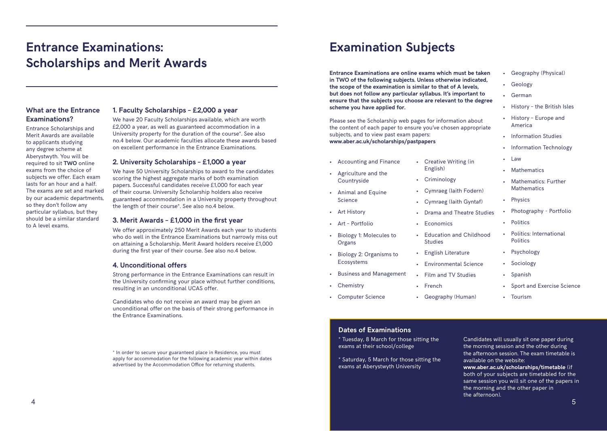### **Entrance Examinations: Scholarships and Merit Awards**

#### **What are the Entrance Examinations?**

Entrance Scholarships and Merit Awards are available to applicants studying any degree scheme at Aberystwyth. You will be required to sit **TWO** online exams from the choice of subjects we offer. Each exam lasts for an hour and a half. The exams are set and marked by our academic departments, so they don't follow any particular syllabus, but they should be a similar standard to A level exams.

#### **1. Faculty Scholarships – £2,000 a year**

We have 20 Faculty Scholarships available, which are worth £2,000 a year, as well as guaranteed accommodation in a University property for the duration of the course\*. See also no.4 below. Our academic faculties allocate these awards based on excellent performance in the Entrance Examinations.

#### **2. University Scholarships – £1,000 a year**

We have 50 University Scholarships to award to the candidates scoring the highest aggregate marks of both examination papers. Successful candidates receive £1,000 for each year of their course. University Scholarship holders also receive guaranteed accommodation in a University property throughout the length of their course\*. See also no.4 below.

#### **3. Merit Awards – £1,000 in the first year**

We offer approximately 250 Merit Awards each year to students who do well in the Entrance Examinations but narrowly miss out on attaining a Scholarship. Merit Award holders receive £1,000 during the first year of their course. See also no.4 below.

#### **4. Unconditional offers**

Strong performance in the Entrance Examinations can result in the University confirming your place without further conditions, resulting in an unconditional UCAS offer.

Candidates who do not receive an award may be given an unconditional offer on the basis of their strong performance in the Entrance Examinations.

\* In order to secure your guaranteed place in Residence, you must apply for accommodation for the following academic year within dates advertised by the Accommodation Office for returning students.

### **Examination Subjects**

**Entrance Examinations are online exams which must be taken in TWO of the following subjects. Unless otherwise indicated, the scope of the examination is similar to that of A levels, but does not follow any particular syllabus. It's important to ensure that the subjects you choose are relevant to the degree scheme you have applied for.**

Please see the Scholarship web pages for information about the content of each paper to ensure you've chosen appropriate subjects, and to view past exam papers: **www.aber.ac.uk/scholarships/pastpapers**

- Accounting and Finance
- Agriculture and the Countryside • Animal and Equine
- Science
- Art History
- Art Portfolio
- Biology 1: Molecules to Organs
- Biology 2: Organisms to Ecosystems
- Business and Management
- Chemistry
- Computer Science
- Geography (Physical)
- Geology
- German
- History the British Isles
- History Europe and America
- Information Studies
- Information Technology
- Law
- Mathematics
- Mathematics: Further **Mathematics**
- Physics
- Photography Portfolio
- Politics
- Politics: International **Politics**
- Psychology
- Sociology
- Spanish
- Sport and Exercise Science
- Tourism

#### **Dates of Examinations**

- \* Tuesday, 8 March for those sitting the exams at their school/college
- \* Saturday, 5 March for those sitting the exams at Aberystwyth University
- Candidates will usually sit one paper during the morning session and the other during the afternoon session. The exam timetable is available on the website:
- **www.aber.ac.uk/scholarships/timetable** (if both of your subjects are timetabled for the same session you will sit one of the papers in the morning and the other paper in the afternoon).

• Film and TV Studies • French

• Economics

Studies

• Creative Writing (in English) • Criminology

> • Cymraeg (Iaith Fodern) • Cymraeg (Iaith Gyntaf) • Drama and Theatre Studies

• Education and Childhood

• English Literature • Environmental Science

• Geography (Human)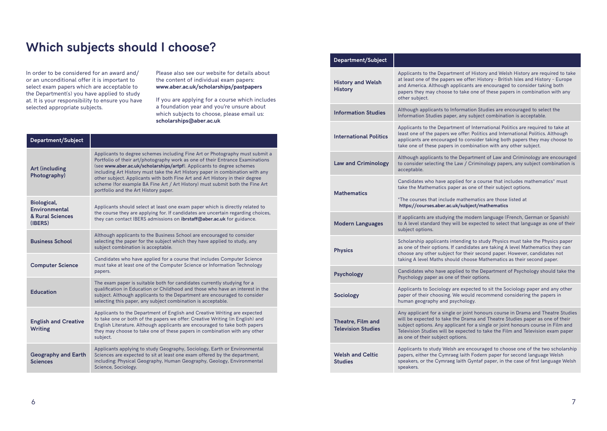### **Which subjects should I choose?**

In order to be considered for an award and/ or an unconditional offer it is important to select exam papers which are acceptable to the Department(s) you have applied to study at. It is your responsibility to ensure you have selected appropriate subjects.

Please also see our website for details about the content of individual exam papers: **[www.aber.ac.uk/scholarships](www.aber.ac.uk/scholarships/)/pastpapers**

If you are applying for a course which includes a foundation year and you're unsure about which subjects to choose, please email us: **scholarships@aber.ac.uk**

| Department/Subject                                                 |                                                                                                                                                                                                                                                                                                                                                                                                                                                                                                                                 |
|--------------------------------------------------------------------|---------------------------------------------------------------------------------------------------------------------------------------------------------------------------------------------------------------------------------------------------------------------------------------------------------------------------------------------------------------------------------------------------------------------------------------------------------------------------------------------------------------------------------|
| <b>Art (including</b><br>Photography)                              | Applicants to degree schemes including Fine Art or Photography must submit a<br>Portfolio of their art/photography work as one of their Entrance Examinations<br>(see www.aber.ac.uk/scholarships/artpf). Applicants to degree schemes<br>including Art History must take the Art History paper in combination with any<br>other subject. Applicants with both Fine Art and Art History in their degree<br>scheme (for example BA Fine Art / Art History) must submit both the Fine Art<br>portfolio and the Art History paper. |
| Biological,<br><b>Environmental</b><br>& Rural Sciences<br>(IBERS) | Applicants should select at least one exam paper which is directly related to<br>the course they are applying for. If candidates are uncertain regarding choices,<br>they can contact IBERS admissions on ibrstaff@aber.ac.uk for guidance.                                                                                                                                                                                                                                                                                     |
| <b>Business School</b>                                             | Although applicants to the Business School are encouraged to consider<br>selecting the paper for the subject which they have applied to study, any<br>subject combination is acceptable.                                                                                                                                                                                                                                                                                                                                        |
| <b>Computer Science</b>                                            | Candidates who have applied for a course that includes Computer Science<br>must take at least one of the Computer Science or Information Technology<br>papers.                                                                                                                                                                                                                                                                                                                                                                  |
| <b>Education</b>                                                   | The exam paper is suitable both for candidates currently studying for a<br>qualification in Education or Childhood and those who have an interest in the<br>subject. Although applicants to the Department are encouraged to consider<br>selecting this paper, any subject combination is acceptable.                                                                                                                                                                                                                           |
| <b>English and Creative</b><br>Writing                             | Applicants to the Department of English and Creative Writing are expected<br>to take one or both of the papers we offer: Creative Writing (in English) and<br>English Literature. Although applicants are encouraged to take both papers<br>they may choose to take one of these papers in combination with any other<br>subject.                                                                                                                                                                                               |
| <b>Geography and Earth</b><br><b>Sciences</b>                      | Applicants applying to study Geography, Sociology, Earth or Environmental<br>Sciences are expected to sit at least one exam offered by the department,<br>including: Physical Geography, Human Geography, Geology, Environmental<br>Science, Sociology.                                                                                                                                                                                                                                                                         |

| Department/Subject                                    |                                                                                                                                                                                                                                                                                                                                                                          |
|-------------------------------------------------------|--------------------------------------------------------------------------------------------------------------------------------------------------------------------------------------------------------------------------------------------------------------------------------------------------------------------------------------------------------------------------|
| <b>History and Welsh</b><br><b>History</b>            | Applicants to the Department of History and Welsh History are required to take<br>at least one of the papers we offer: History - British Isles and History - Europe<br>and America. Although applicants are encouraged to consider taking both<br>papers they may choose to take one of these papers in combination with any<br>other subject.                           |
| <b>Information Studies</b>                            | Although applicants to Information Studies are encouraged to select the<br>Information Studies paper, any subject combination is acceptable.                                                                                                                                                                                                                             |
| <b>International Politics</b>                         | Applicants to the Department of International Politics are required to take at<br>least one of the papers we offer: Politics and International Politics. Although<br>applicants are encouraged to consider taking both papers they may choose to<br>take one of these papers in combination with any other subject.                                                      |
| <b>Law and Criminology</b>                            | Although applicants to the Department of Law and Criminology are encouraged<br>to consider selecting the Law / Criminology papers, any subject combination is<br>acceptable.                                                                                                                                                                                             |
| <b>Mathematics</b>                                    | Candidates who have applied for a course that includes mathematics* must<br>take the Mathematics paper as one of their subject options.                                                                                                                                                                                                                                  |
|                                                       | *The courses that include mathematics are those listed at<br>https://courses.aber.ac.uk/subject/mathematics                                                                                                                                                                                                                                                              |
| <b>Modern Languages</b>                               | If applicants are studying the modern language (French, German or Spanish)<br>to A level standard they will be expected to select that language as one of their<br>subject options.                                                                                                                                                                                      |
| <b>Physics</b>                                        | Scholarship applicants intending to study Physics must take the Physics paper<br>as one of their options. If candidates are taking A level Mathematics they can<br>choose any other subject for their second paper. However, candidates not<br>taking A level Maths should choose Mathematics as their second paper.                                                     |
| <b>Psychology</b>                                     | Candidates who have applied to the Department of Psychology should take the<br>Psychology paper as one of their options.                                                                                                                                                                                                                                                 |
| Sociology                                             | Applicants to Sociology are expected to sit the Sociology paper and any other<br>paper of their choosing. We would recommend considering the papers in<br>human geography and psychology.                                                                                                                                                                                |
| <b>Theatre, Film and</b><br><b>Television Studies</b> | Any applicant for a single or joint honours course in Drama and Theatre Studies<br>will be expected to take the Drama and Theatre Studies paper as one of their<br>subject options. Any applicant for a single or joint honours course in Film and<br>Television Studies will be expected to take the Film and Television exam paper<br>as one of their subject options. |
| <b>Welsh and Celtic</b><br><b>Studies</b>             | Applicants to study Welsh are encouraged to choose one of the two scholarship<br>papers, either the Cymraeg laith Fodern paper for second language Welsh<br>speakers, or the Cymraeg laith Gyntaf paper, in the case of first language Welsh<br>speakers.                                                                                                                |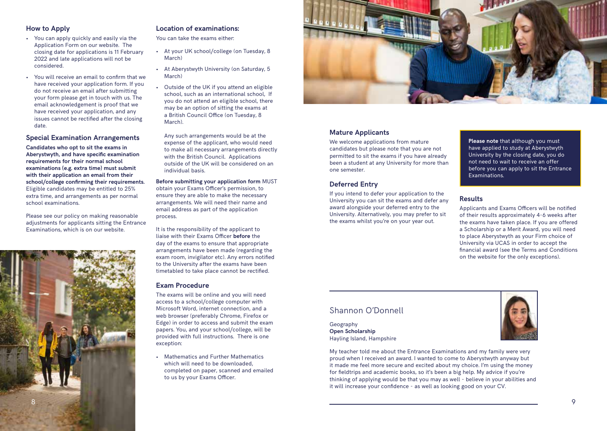#### **How to Apply**

- You can apply quickly and easily via the Application Form on our website. The closing date for applications is 11 February 2022 and late applications will not be considered.
- You will receive an email to confirm that we have received your application form. If you do not receive an email after submitting your form please get in touch with us. The email acknowledgement is proof that we have received your application, and any issues cannot be rectified after the closing date.

#### **Special Examination Arrangements**

**Candidates who opt to sit the exams in Aberystwyth, and have specific examination requirements for their normal school examinations (e.g. extra time) must submit with their application an email from their school/college confirming their requirements.**  Eligible candidates may be entitled to 25% extra time, and arrangements as per normal school examinations.

Please see our policy on making reasonable adjustments for applicants sitting the Entrance Examinations, which is on our website.



#### **Location of examinations:**

You can take the exams either:

- At your UK school/college (on Tuesday, 8 March)
- At Aberystwyth University (on Saturday, 5 March)
- Outside of the UK if you attend an eligible school, such as an international school, If you do not attend an eligible school, there may be an option of sitting the exams at a British Council Office (on Tuesday, 8 March).

Any such arrangements would be at the expense of the applicant, who would need to make all necessary arrangements directly with the British Council. Applications outside of the UK will be considered on an individual basis.

**Before submitting your application form** MUST obtain your Exams Officer's permission, to ensure they are able to make the necessary arrangements. We will need their name and email address as part of the application process.

It is the responsibility of the applicant to liaise with their Exams Officer **before** the day of the exams to ensure that appropriate arrangements have been made (regarding the exam room, invigilator etc). Any errors notified to the University after the exams have been timetabled to take place cannot be rectified.

#### **Exam Procedure**

The exams will be online and you will need access to a school/college computer with Microsoft Word, internet connection, and a web browser (preferably Chrome, Firefox or Edge) in order to access and submit the exam papers. You, and your school/college, will be provided with full instructions. There is one exception:

• Mathematics and Further Mathematics which will need to be downloaded, completed on paper, scanned and emailed to us by your Exams Officer.



#### **Mature Applicants**

We welcome applications from mature candidates but please note that you are not permitted to sit the exams if you have already been a student at any University for more than one semester.

#### **Deferred Entry**

If you intend to defer your application to the University you can sit the exams and defer any award alongside your deferred entry to the University. Alternatively, you may prefer to sit the exams whilst you're on your year out.

**Please note** that although you must have applied to study at Aberystwyth University by the closing date, you do not need to wait to receive an offer before you can apply to sit the Entrance Examinations.

#### **Results**

Applicants and Exams Officers will be notified of their results approximately 4-6 weeks after the exams have taken place. If you are offered a Scholarship or a Merit Award, you will need to place Aberystwyth as your Firm choice of University via UCAS in order to accept the financial award (see the Terms and Conditions on the website for the only exceptions).

### Shannon O'Donnell

Geography **Open Scholarship** Hayling Island, Hampshire

My teacher told me about the Entrance Examinations and my family were very proud when I received an award. I wanted to come to Aberystwyth anyway but it made me feel more secure and excited about my choice. I'm using the money for fieldtrips and academic books, so it's been a big help. My advice if you're thinking of applying would be that you may as well - believe in your abilities and it will increase your confidence - as well as looking good on your CV.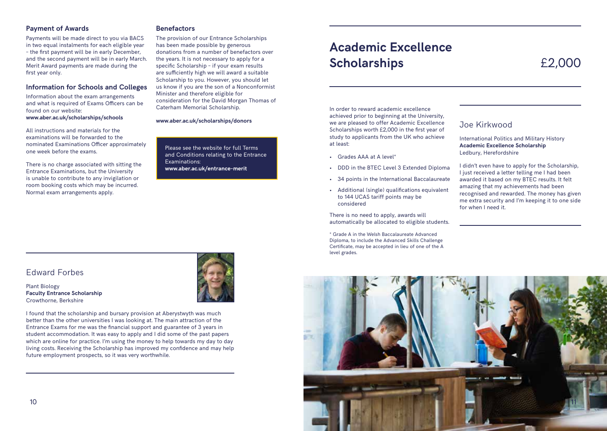#### **Payment of Awards**

Payments will be made direct to you via BACS in two equal instalments for each eligible year – the first payment will be in early December, and the second payment will be in early March. Merit Award payments are made during the first year only.

#### **Information for Schools and Colleges**

Information about the exam arrangements and what is required of Exams Officers can be found on our website: **www.aber.ac.uk/scholarships/schools**

All instructions and materials for the examinations will be forwarded to the nominated Examinations Officer approximately one week before the exams.

There is no charge associated with sitting the Entrance Examinations, but the University is unable to contribute to any invigilation or room booking costs which may be incurred. Normal exam arrangements apply.

#### **Benefactors**

The provision of our Entrance Scholarships has been made possible by generous donations from a number of benefactors over the years. It is not necessary to apply for a specific Scholarship – if your exam results are sufficiently high we will award a suitable Scholarship to you. However, you should let us know if you are the son of a Nonconformist Minister and therefore eligible for consideration for the David Morgan Thomas of Caterham Memorial Scholarship.

#### **www.aber.ac.uk/scholarships/donors**

Please see the website for full Terms and Conditions relating to the Entrance Examinations: **www.aber.ac.uk/entrance-merit**

## **Academic Excellence Scholarships** £2,000

In order to reward academic excellence achieved prior to beginning at the University, we are pleased to offer Academic Excellence Scholarships worth £2,000 in the first year of study to applicants from the UK who achieve at least:

- Grades AAA at A level\*
- DDD in the BTEC Level 3 Extended Diploma
- 34 points in the International Baccalaureate
- Additional (single) qualifications equivalent to 144 UCAS tariff points may be considered

There is no need to apply, awards will automatically be allocated to eligible students.

\* Grade A in the Welsh Baccalaureate Advanced Diploma, to include the Advanced Skills Challenge Certificate, may be accepted in lieu of one of the A level grades.

### Joe Kirkwood

International Politics and Military History **Academic Excellence Scholarship** Ledbury, Herefordshire

I didn't even have to apply for the Scholarship, I just received a letter telling me I had been awarded it based on my BTEC results. It felt amazing that my achievements had been recognised and rewarded. The money has given me extra security and I'm keeping it to one side for when I need it.

### Edward Forbes

Plant Biology **Faculty Entrance Scholarship** Crowthorne, Berkshire



I found that the scholarship and bursary provision at Aberystwyth was much better than the other universities I was looking at. The main attraction of the Entrance Exams for me was the financial support and guarantee of 3 years in student accommodation. It was easy to apply and I did some of the past papers which are online for practice. I'm using the money to help towards my day to day living costs. Receiving the Scholarship has improved my confidence and may help future employment prospects, so it was very worthwhile.

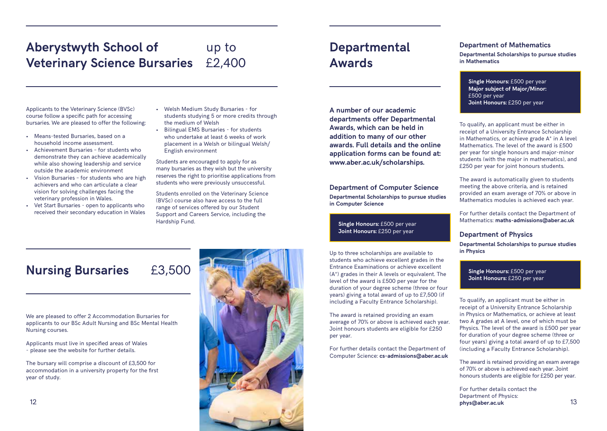### **Aberystwyth School of** up to **Veterinary Science Bursaries** £2,400

#### Applicants to the Veterinary Science (BVSc) course follow a specific path for accessing bursaries. We are pleased to offer the following:

- Means-tested Bursaries, based on a household income assessment.
- Achievement Bursaries for students who demonstrate they can achieve academically while also showing leadership and service outside the academic environment
- Vision Bursaries for students who are high achievers and who can articulate a clear vision for solving challenges facing the veterinary profession in Wales.
- Vet Start Bursaries open to applicants who received their secondary education in Wales
- Welsh Medium Study Bursaries for students studying 5 or more credits through the medium of Welsh
- Bilingual EMS Bursaries for students who undertake at least 6 weeks of work placement in a Welsh or bilingual Welsh/ English environment

Students are encouraged to apply for as many bursaries as they wish but the university reserves the right to prioritise applications from students who were previously unsuccessful.

Students enrolled on the Veterinary Science (BVSc) course also have access to the full range of services offered by our Student Support and Careers Service, including the Hardship Fund.

### **Departmental Awards**

**A number of our academic departments offer Departmental Awards, which can be held in addition to many of our other awards. Full details and the online application forms can be found at: www.aber.ac.uk/scholarships.**

**Department of Computer Science Departmental Scholarships to pursue studies in Computer Science**

**Single Honours:** £500 per year **Joint Honours:** £250 per year

Up to three scholarships are available to students who achieve excellent grades in the Entrance Examinations or achieve excellent (A\*) grades in their A levels or equivalent. The level of the award is £500 per year for the duration of your degree scheme (three or four years) giving a total award of up to £7,500 (if including a Faculty Entrance Scholarship).

The award is retained providing an exam average of 70% or above is achieved each year. Joint honours students are eligible for £250 per year.

For further details contact the Department of Computer Science: **cs-admissions@aber.ac.uk**

#### **Department of Mathematics**

**Departmental Scholarships to pursue studies in Mathematics**

**Single Honours:** £500 per year **Major subject of Major/Minor:**  £500 per year **Joint Honours:** £250 per year

To qualify, an applicant must be either in receipt of a University Entrance Scholarship in Mathematics, or achieve grade A\* in A level Mathematics. The level of the award is £500 per year for single honours and major-minor students (with the major in mathematics), and £250 per year for joint honours students.

The award is automatically given to students meeting the above criteria, and is retained provided an exam average of 70% or above in Mathematics modules is achieved each year.

For further details contact the Department of Mathematics: **maths-admissions@aber.ac.uk**

**Department of Physics**

**Departmental Scholarships to pursue studies in Physics**

**Single Honours:** £500 per year **Joint Honours:** £250 per year

To qualify, an applicant must be either in receipt of a University Entrance Scholarship in Physics or Mathematics, or achieve at least two A grades at A level, one of which must be Physics. The level of the award is £500 per year for duration of your degree scheme (three or four years) giving a total award of up to £7,500 (including a Faculty Entrance Scholarship).

The award is retained providing an exam average of 70% or above is achieved each year. Joint honours students are eligible for £250 per year.

For further details contact the Department of Physics: **phys@aber.ac.uk**

### **Nursing Bursaries** £3,500

We are pleased to offer 2 Accommodation Bursaries for applicants to our BSc Adult Nursing and BSc Mental Health Nursing courses.

Applicants must live in specified areas of Wales - please see the website for further details.

The bursary will comprise a discount of £3,500 for accommodation in a university property for the first year of study.

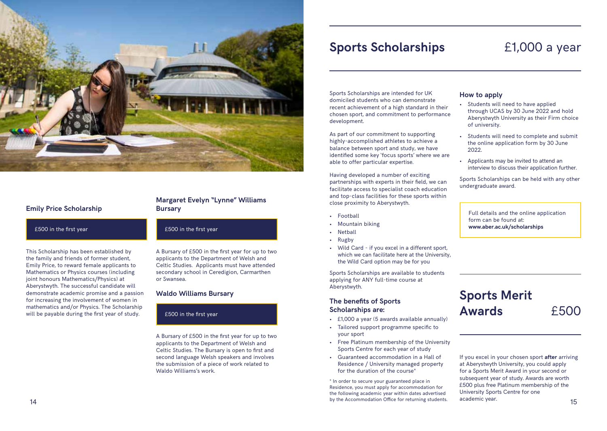

#### **Emily Price Scholarship**

#### £500 in the first year

This Scholarship has been established by the family and friends of former student, Emily Price, to reward female applicants to Mathematics or Physics courses (including joint honours Mathematics/Physics) at Aberystwyth. The successful candidate will demonstrate academic promise and a passion for increasing the involvement of women in mathematics and/or Physics. The Scholarship will be payable during the first year of study.

#### **Margaret Evelyn "Lynne" Williams Bursary**

#### £500 in the first year

A Bursary of £500 in the first year for up to two applicants to the Department of Welsh and Celtic Studies. Applicants must have attended secondary school in Ceredigion, Carmarthen or Swansea.

#### **Waldo Williams Bursary**

#### £500 in the first year

A Bursary of £500 in the first year for up to two applicants to the Department of Welsh and Celtic Studies. The Bursary is open to first and second language Welsh speakers and involves the submission of a piece of work related to Waldo Williams's work.

### **Sports Scholarships** E1,000 a year

Sports Scholarships are intended for UK domiciled students who can demonstrate recent achievement of a high standard in their chosen sport, and commitment to performance development.

As part of our commitment to supporting highly-accomplished athletes to achieve a balance between sport and study, we have identified some key 'focus sports' where we are able to offer particular expertise.

Having developed a number of exciting partnerships with experts in their field, we can facilitate access to specialist coach education and top-class facilities for these sports within close proximity to Aberystwyth.

- Football
- Mountain biking
- Netball
- Rugby
- Wild Card if you excel in a different sport, which we can facilitate here at the University, the Wild Card option may be for you

Sports Scholarships are available to students applying for ANY full-time course at Aberystwyth.

#### **The benefits of Sports Scholarships are:**

- £1,000 a year (5 awards available annually)
- Tailored support programme specific to your sport
- Free Platinum membership of the University Sports Centre for each year of study
- Guaranteed accommodation in a Hall of Residence / University managed property for the duration of the course\*

\* In order to secure your guaranteed place in Residence, you must apply for accommodation for the following academic year within dates advertised by the Accommodation Office for returning students. by the Accommodation Office for returning students. The accommodation of the Accommodation Office for returning students. The account of the students of the students of the students of the students of the students of the s

#### **How to apply**

- Students will need to have applied through UCAS by 30 June 2022 and hold Aberystwyth University as their Firm choice of university.
- Students will need to complete and submit the online application form by 30 June 2022.
- Applicants may be invited to attend an interview to discuss their application further.

Sports Scholarships can be held with any other undergraduate award.

Full details and the online application form can be found at: **www.aber.ac.uk/scholarships**

### **Sports Merit Awards** £500

If you excel in your chosen sport **after** arriving at Aberystwyth University, you could apply for a Sports Merit Award in your second or subsequent year of study. Awards are worth £500 plus free Platinum membership of the University Sports Centre for one academic year.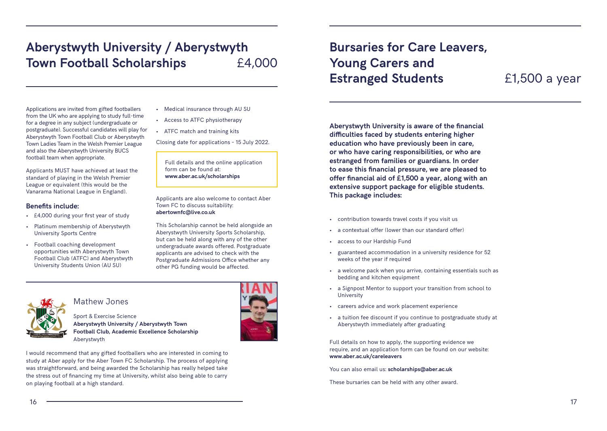## **Aberystwyth University / Aberystwyth Town Football Scholarships** E4,000

Applications are invited from gifted footballers from the UK who are applying to study full-time for a degree in any subject (undergraduate or postgraduate). Successful candidates will play for Aberystwyth Town Football Club or Aberystwyth Town Ladies Team in the Welsh Premier League and also the Aberystwyth University BUCS football team when appropriate.

Applicants MUST have achieved at least the standard of playing in the Welsh Premier League or equivalent (this would be the Vanarama National League in England).

#### **Benefits include:**

- £4,000 during your first year of study
- Platinum membership of Aberystwyth University Sports Centre
- Football coaching development opportunities with Aberystwyth Town Football Club (ATFC) and Aberystwyth University Students Union (AU SU)
- Medical insurance through AU SU
- Access to ATFC physiotherapy
- ATFC match and training kits

Closing date for applications – 15 July 2022.

Full details and the online application form can be found at: **www.aber.ac.uk/scholarships**

Applicants are also welcome to contact Aber Town FC to discuss suitability: **abertownfc@live.co.uk**

This Scholarship cannot be held alongside an Aberystwyth University Sports Scholarship, but can be held along with any of the other undergraduate awards offered. Postgraduate applicants are advised to check with the Postgraduate Admissions Office whether any other PG funding would be affected.



#### Mathew Jones

Sport & Exercise Science **Aberystwyth University / Aberystwyth Town Football Club, Academic Excellence Scholarship** Aberystwyth

I would recommend that any gifted footballers who are interested in coming to study at Aber apply for the Aber Town FC Scholarship. The process of applying was straightforward, and being awarded the Scholarship has really helped take the stress out of financing my time at University, whilst also being able to carry on playing football at a high standard.



**Aberystwyth University is aware of the financial difficulties faced by students entering higher education who have previously been in care, or who have caring responsibilities, or who are estranged from families or guardians. In order to ease this financial pressure, we are pleased to offer financial aid of £1,500 a year, along with an extensive support package for eligible students. This package includes:**

- contribution towards travel costs if you visit us
- a contextual offer (lower than our standard offer)
- access to our Hardship Fund
- guaranteed accommodation in a university residence for 52 weeks of the year if required
- a welcome pack when you arrive, containing essentials such as bedding and kitchen equipment
- a Signpost Mentor to support your transition from school to University
- careers advice and work placement experience
- a tuition fee discount if you continue to postgraduate study at Aberystwyth immediately after graduating

Full details on how to apply, the supporting evidence we require, and an application form can be found on our website: **www.aber.ac.uk/careleavers**

You can also email us: **scholarships@aber.ac.uk**

These bursaries can be held with any other award.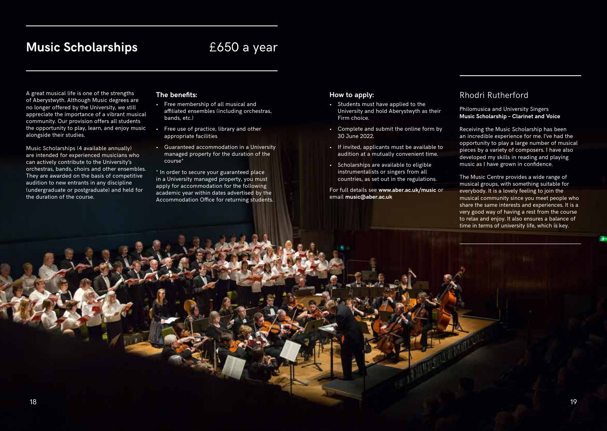### **Music Scholarships E650** a year

A great musical life is one of the strengths of Aberystwyth. Although Music degrees are no longer offered by the University, we still appreciate the importance of a vibrant musical community. Our provision offers all students the opportunity to play, learn, and enjoy music alongside their studies.

Music Scholarships (4 available annually) are intended for experienced musicians who can actively contribute to the University's orchestras, bands, choirs and other ensembles. They are awarded on the basis of competitive audition to new entrants in any discipline (undergraduate or postgraduate) and held for the duration of the course.

#### **The benefits:**

- Free membership of all musical and affiliated ensembles (including orchestras, bands, etc.)
- Free use of practice, library and other appropriate facilities
- Guaranteed accommodation in a University managed property for the duration of the course\*

\* In order to secure your guaranteed place in a University managed property, you must apply for accommodation for the following academic year within dates advertised by the Accommodation Office for returning students.

#### **How to apply:**

- Students must have applied to the University and hold Aberystwyth as their Firm choice.
- Complete and submit the online form by 30 June 2022.
- If invited, applicants must be available to audition at a mutually convenient time.
- Scholarships are available to eligible instrumentalists or singers from all countries, as set out in the regulations.

For full details see **[www.aber.ac.uk/music](http://www.aber.ac.uk/music)** or email **[music@aber.ac.uk](mailto:music%40aber.ac.uk?subject=)**

### Rhodri Rutherford

Philomusica and University Singers **Music Scholarship – Clarinet and Voice**

Receiving the Music Scholarship has been an incredible experience for me. I've had the opportunity to play a large number of musical pieces by a variety of composers. I have also developed my skills in reading and playing music as I have grown in confidence.

The Music Centre provides a wide range of musical groups, with something suitable for everybody. It is a lovely feeling to join the musical community since you meet people who share the same interests and experiences. It is a very good way of having a rest from the course to relax and enjoy. It also ensures a balance of time in terms of university life, which is key.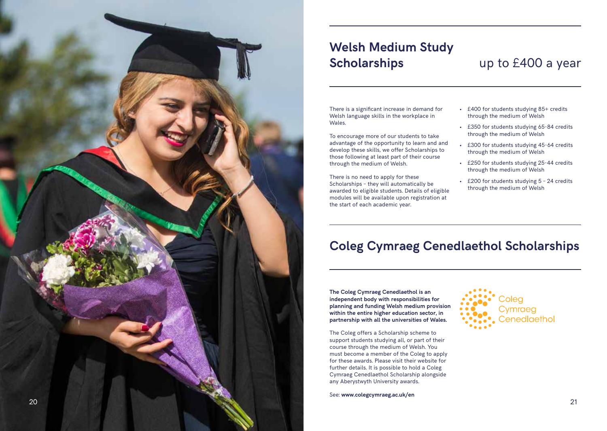

## **Welsh Medium Study Scholarships** up to £400 a year

There is a significant increase in demand for Welsh language skills in the workplace in Wales.

To encourage more of our students to take advantage of the opportunity to learn and and develop these skills, we offer Scholarships to those following at least part of their course through the medium of Welsh.

There is no need to apply for these Scholarships – they will automatically be awarded to eligible students. Details of eligible modules will be available upon registration at the start of each academic year.

- £400 for students studying 85+ credits through the medium of Welsh
- £350 for students studying 65-84 credits through the medium of Welsh
- £300 for students studying 45-64 credits through the medium of Welsh
- £250 for students studying 25-44 credits through the medium of Welsh
- £200 for students studying 5 24 credits through the medium of Welsh

### **Coleg Cymraeg Cenedlaethol Scholarships**

**The Coleg Cymraeg Cenedlaethol is an independent body with responsibilities for planning and funding Welsh medium provision within the entire higher education sector, in partnership with all the universities of Wales.** 

The Coleg offers a Scholarship scheme to support students studying all, or part of their course through the medium of Welsh. You must become a member of the Coleg to apply for these awards. Please visit their website for further details. It is possible to hold a Coleg Cymraeg Cenedlaethol Scholarship alongside any Aberystwyth University awards.

See: **www.colegcymraeg.ac.uk/en**

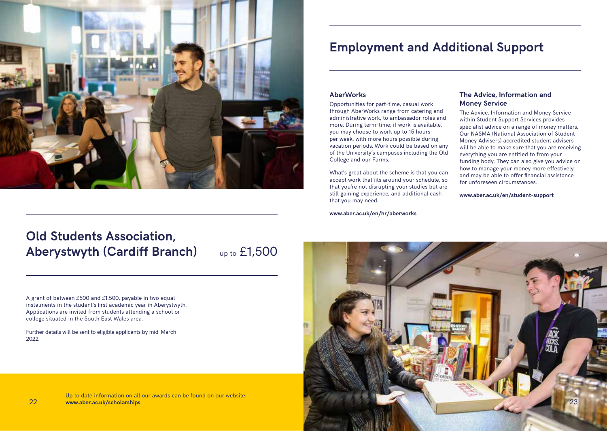

### **Employment and Additional Support**

#### **AberWorks**

Opportunities for part-time, casual work through AberWorks range from catering and administrative work, to ambassador roles and more. During term-time, if work is available, you may choose to work up to 15 hours per week, with more hours possible during vacation periods. Work could be based on any of the University's campuses including the Old College and our Farms.

What's great about the scheme is that you can accept work that fits around your schedule, so that you're not disrupting your studies but are still gaining experience, and additional cash that you may need.

**www.aber.ac.uk/en/hr/aberworks**

#### **The Advice, Information and Money Service**

The Advice, Information and Money Service within Student Support Services provides specialist advice on a range of money matters. Our NASMA (National Association of Student Money Advisers) accredited student advisers will be able to make sure that you are receiving everything you are entitled to from your funding body. They can also give you advice on how to manage your money more effectively and may be able to offer financial assistance for unforeseen circumstances.

**www.aber.ac.uk/en/student-support** 

### **Old Students Association, Aberystwyth (Cardiff Branch)** up to £1,500

A grant of between £500 and £1,500, payable in two equal instalments in the student's first academic year in Aberystwyth. Applications are invited from students attending a school or college situated in the South East Wales area.

Further details will be sent to eligible applicants by mid-March 2022.

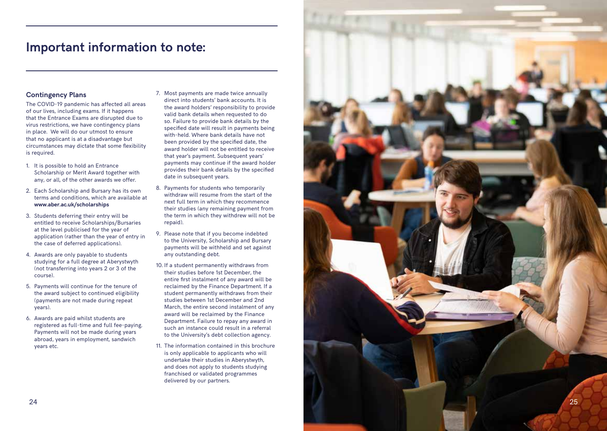### **Important information to note:**

#### **Contingency Plans**

The COVID-19 pandemic has affected all areas of our lives, including exams. If it happens that the Entrance Exams are disrupted due to virus restrictions, we have contingency plans in place. We will do our utmost to ensure that no applicant is at a disadvantage but circumstances may dictate that some flexibility is required.

- 1. It is possible to hold an Entrance Scholarship or Merit Award together with any, or all, of the other awards we offer.
- 2. Each Scholarship and Bursary has its own terms and conditions, which are available at **www.aber.ac.uk/scholarships**
- 3. Students deferring their entry will be entitled to receive Scholarships/Bursaries at the level publicised for the year of application (rather than the year of entry in the case of deferred applications).
- 4. Awards are only payable to students studying for a full degree at Aberystwyth (not transferring into years 2 or 3 of the course).
- 5. Payments will continue for the tenure of the award subject to continued eligibility (payments are not made during repeat years).
- 6. Awards are paid whilst students are registered as full-time and full fee-paying. Payments will not be made during years abroad, years in employment, sandwich years etc.
- 7. Most payments are made twice annually direct into students' bank accounts. It is the award holders' responsibility to provide valid bank details when requested to do so. Failure to provide bank details by the specified date will result in payments being with-held. Where bank details have not been provided by the specified date, the award holder will not be entitled to receive that year's payment. Subsequent years' payments may continue if the award holder provides their bank details by the specified date in subsequent years.
- 8. Payments for students who temporarily withdraw will resume from the start of the next full term in which they recommence their studies (any remaining payment from the term in which they withdrew will not be repaid).
- 9. Please note that if you become indebted to the University, Scholarship and Bursary payments will be withheld and set against any outstanding debt.
- 10. If a student permanently withdraws from their studies before 1st December, the entire first instalment of any award will be reclaimed by the Finance Department. If a student permanently withdraws from their studies between 1st December and 2nd March, the entire second instalment of any award will be reclaimed by the Finance Department. Failure to repay any award in such an instance could result in a referral to the University's debt collection agency.
- 11. The information contained in this brochure is only applicable to applicants who will undertake their studies in Aberystwyth, and does not apply to students studying franchised or validated programmes delivered by our partners.

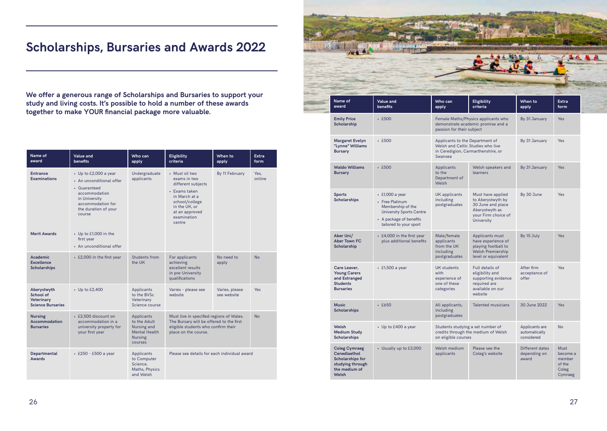## **Scholarships, Bursaries and Awards 2022**

**We offer a generous range of Scholarships and Bursaries to support your study and living costs. It's possible to hold a number of these awards together to make YOUR financial package more valuable.**

| Name of<br>award                                                   | <b>Value and</b><br><b>benefits</b>                                                                                                                              | Who can<br>apply                                                                                      | <b>Eligibility</b><br>criteria                                                                                                                                       | When to<br>apply              | <b>Extra</b><br>form |
|--------------------------------------------------------------------|------------------------------------------------------------------------------------------------------------------------------------------------------------------|-------------------------------------------------------------------------------------------------------|----------------------------------------------------------------------------------------------------------------------------------------------------------------------|-------------------------------|----------------------|
| <b>Entrance</b><br><b>Examinations</b>                             | $\cdot$ Up to £2,000 a year<br>• An unconditional offer<br>• Guaranteed<br>accommodation<br>in University<br>accommodation for<br>the duration of your<br>course | Undergraduate<br>applicants                                                                           | • Must sit two<br>exams in two<br>different subjects<br>• Exams taken<br>in March at a<br>school/college<br>in the UK, or<br>at an approved<br>examination<br>centre | By 11 February                | Yes,<br>online       |
| <b>Merit Awards</b>                                                | • Up to £1,000 in the<br>first year<br>• An unconditional offer                                                                                                  |                                                                                                       |                                                                                                                                                                      |                               |                      |
| <b>Academic</b><br><b>Excellence</b><br><b>Scholarships</b>        | • £2,000 in the first year                                                                                                                                       | <b>Students from</b><br>the UK                                                                        | For applicants<br>achieving<br>excellent results<br>in pre-University<br>qualifications                                                                              | No need to<br>apply           | <b>No</b>            |
| Aberystwyth<br>School of<br>Veterinary<br><b>Science Bursaries</b> | • Up to £2,400                                                                                                                                                   | <b>Applicants</b><br>to the BVSc<br>Veterinary<br>Science course                                      | Varies - please see<br>website                                                                                                                                       | Varies, please<br>see website | <b>Yes</b>           |
| <b>Nursing</b><br>Accommodation<br><b>Bursaries</b>                | · £3.500 discount on<br>accommodation in a<br>university property for<br>your first year                                                                         | <b>Applicants</b><br>to the Adult<br>Nursing and<br><b>Mental Health</b><br><b>Nursing</b><br>courses | Must live in specified regions of Wales.<br>The Bursary will be offered to the first<br>eligible students who confirm their<br>place on the course.                  |                               | <b>No</b>            |
| Departmental<br><b>Awards</b>                                      | • £250 - £500 a year                                                                                                                                             | <b>Applicants</b><br>to Computer<br>Science,<br>Maths, Physics<br>and Welsh                           | Please see details for each individual award                                                                                                                         |                               |                      |

| Name of<br>award                                                                                                     | Value and<br>benefits                                                                                                                                 | Who can<br>apply                                                                                       | <b>Eligibility</b><br>criteria                                                                                            | When to<br>apply                                | Extra<br>form                                            |
|----------------------------------------------------------------------------------------------------------------------|-------------------------------------------------------------------------------------------------------------------------------------------------------|--------------------------------------------------------------------------------------------------------|---------------------------------------------------------------------------------------------------------------------------|-------------------------------------------------|----------------------------------------------------------|
| <b>Emily Price</b><br>Scholarship                                                                                    | $·$ £500                                                                                                                                              | Female Maths/Physics applicants who<br>demonstrate academic promise and a<br>passion for their subject |                                                                                                                           | By 31 January                                   | Yes                                                      |
| <b>Margaret Evelyn</b><br>"Lynne" Williams<br><b>Bursary</b>                                                         | $·$ £500                                                                                                                                              | Applicants to the Department of<br>Swansea                                                             | Welsh and Celtic Studies who live<br>in Ceredigion, Carmarthenshire, or                                                   | By 31 January                                   | Yes                                                      |
| <b>Waldo Williams</b><br><b>Bursary</b>                                                                              | $·$ £500                                                                                                                                              | <b>Applicants</b><br>to the<br>Department of<br>Welsh                                                  | Welsh speakers and<br><b>learners</b>                                                                                     | By 31 January                                   | Yes                                                      |
| <b>Sports</b><br><b>Scholarships</b>                                                                                 | $\cdot$ £1,000 a year<br>• Free Platinum<br>Membership of the<br><b>University Sports Centre</b><br>• A package of benefits<br>tailored to your sport | UK applicants<br>including<br>postgraduates                                                            | Must have applied<br>to Aberystwyth by<br>30 June and place<br>Aberystwyth as<br>your Firm choice of<br><b>University</b> | By 30 June                                      | Yes                                                      |
| Aber Uni/<br><b>Aber Town FC</b><br>Scholarship                                                                      | • £4,000 in the first year<br>plus additional benefits                                                                                                | Male/female<br>applicants<br>from the UK<br>including<br>postgraduates                                 | Applicants must<br>have experience of<br>playing football to<br><b>Welsh Premiership</b><br>level or equivalent           | By 15 July                                      | Yes                                                      |
| Care Leaver,<br><b>Young Carers</b><br>and Estranged<br><b>Students</b><br><b>Bursaries</b>                          | $\cdot$ £1,500 a year                                                                                                                                 | <b>UK students</b><br>with<br>experience of<br>one of these<br>categories                              | Full details of<br>eligibility and<br>supporting evidence<br>required are<br>available on our<br>website                  | After firm<br>acceptance of<br>offer            | Yes                                                      |
| <b>Music</b><br><b>Scholarships</b>                                                                                  | $\cdot$ £650                                                                                                                                          | All applicants,<br>including<br>postgraduates                                                          | <b>Talented musicians</b>                                                                                                 | 30 June 2022                                    | Yes                                                      |
| Welsh<br><b>Medium Study</b><br>Scholarships                                                                         | • Up to £400 a year                                                                                                                                   | on eligible courses                                                                                    | Students studying a set number of<br>credits through the medium of Welsh                                                  | Applicants are<br>automatically<br>considered   | No                                                       |
| <b>Coleg Cymraeg</b><br><b>Cenedlaethol</b><br><b>Scholarships for</b><br>studying through<br>the medium of<br>Welsh | • Usually up to £3,000                                                                                                                                | Welsh medium<br>applicants                                                                             | Please see the<br>Coleg's website                                                                                         | <b>Different dates</b><br>depending on<br>award | Must<br>become a<br>member<br>of the<br>Coleg<br>Cymraeg |